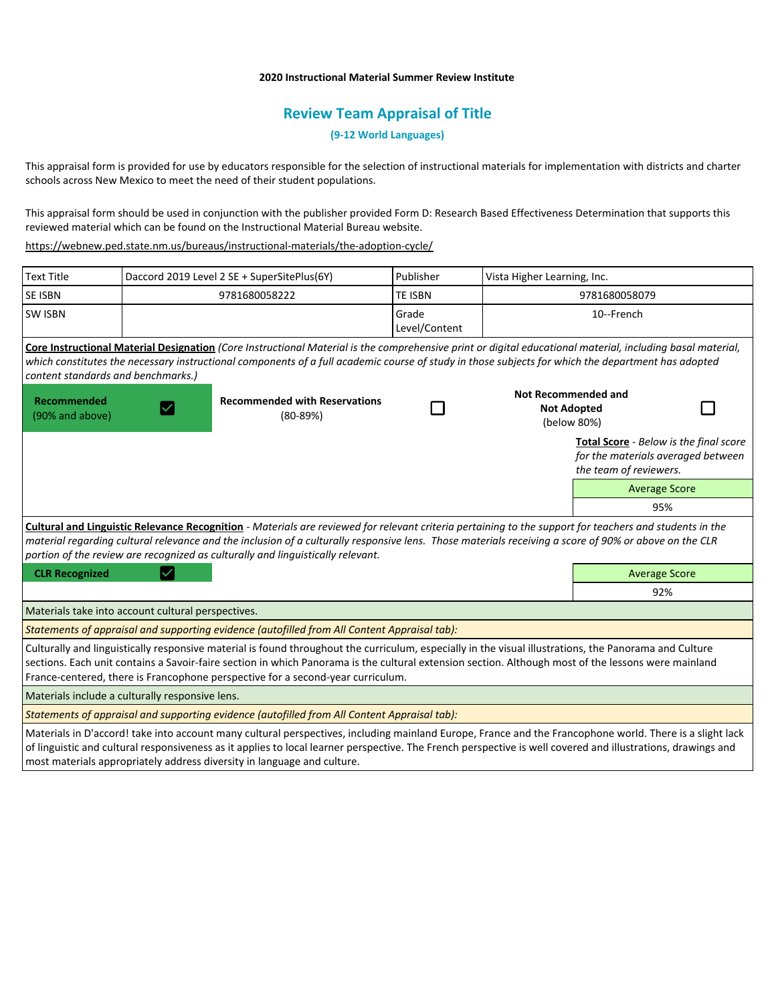## **2020 Instructional Material Summer Review Institute**

# **Review Team Appraisal of Title**

**(9-12 World Languages)**

This appraisal form is provided for use by educators responsible for the selection of instructional materials for implementation with districts and charter schools across New Mexico to meet the need of their student populations.

This appraisal form should be used in conjunction with the publisher provided Form D: Research Based Effectiveness Determination that supports this reviewed material which can be found on the Instructional Material Bureau website.

<https://webnew.ped.state.nm.us/bureaus/instructional-materials/the-adoption-cycle/>

| <b>Text Title</b>                                                                                                                                                                                                                                                                                                                                                                                   | Daccord 2019 Level 2 SE + SuperSitePlus(6Y) |                                                    | Publisher              | Vista Higher Learning, Inc.                                     |                                                                                                        |  |
|-----------------------------------------------------------------------------------------------------------------------------------------------------------------------------------------------------------------------------------------------------------------------------------------------------------------------------------------------------------------------------------------------------|---------------------------------------------|----------------------------------------------------|------------------------|-----------------------------------------------------------------|--------------------------------------------------------------------------------------------------------|--|
| <b>SE ISBN</b>                                                                                                                                                                                                                                                                                                                                                                                      |                                             | 9781680058222                                      | <b>TE ISBN</b>         | 9781680058079                                                   |                                                                                                        |  |
| <b>SW ISBN</b>                                                                                                                                                                                                                                                                                                                                                                                      |                                             |                                                    | Grade<br>Level/Content | 10--French                                                      |                                                                                                        |  |
| Core Instructional Material Designation (Core Instructional Material is the comprehensive print or digital educational material, including basal material,<br>which constitutes the necessary instructional components of a full academic course of study in those subjects for which the department has adopted<br>content standards and benchmarks.)                                              |                                             |                                                    |                        |                                                                 |                                                                                                        |  |
| <b>Recommended</b><br>(90% and above)                                                                                                                                                                                                                                                                                                                                                               |                                             | <b>Recommended with Reservations</b><br>$(80-89%)$ |                        | <b>Not Recommended and</b><br><b>Not Adopted</b><br>(below 80%) |                                                                                                        |  |
|                                                                                                                                                                                                                                                                                                                                                                                                     |                                             |                                                    |                        |                                                                 | Total Score - Below is the final score<br>for the materials averaged between<br>the team of reviewers. |  |
|                                                                                                                                                                                                                                                                                                                                                                                                     |                                             |                                                    |                        |                                                                 | <b>Average Score</b>                                                                                   |  |
|                                                                                                                                                                                                                                                                                                                                                                                                     |                                             |                                                    |                        |                                                                 | 95%                                                                                                    |  |
| Cultural and Linguistic Relevance Recognition - Materials are reviewed for relevant criteria pertaining to the support for teachers and students in the<br>material regarding cultural relevance and the inclusion of a culturally responsive lens. Those materials receiving a score of 90% or above on the CLR<br>portion of the review are recognized as culturally and linguistically relevant. |                                             |                                                    |                        |                                                                 |                                                                                                        |  |
| <b>CLR Recognized</b>                                                                                                                                                                                                                                                                                                                                                                               |                                             |                                                    |                        |                                                                 | <b>Average Score</b>                                                                                   |  |
|                                                                                                                                                                                                                                                                                                                                                                                                     |                                             |                                                    |                        |                                                                 | 92%                                                                                                    |  |
| Materials take into account cultural perspectives.                                                                                                                                                                                                                                                                                                                                                  |                                             |                                                    |                        |                                                                 |                                                                                                        |  |
| Statements of appraisal and supporting evidence (autofilled from All Content Appraisal tab):                                                                                                                                                                                                                                                                                                        |                                             |                                                    |                        |                                                                 |                                                                                                        |  |
| Culturally and linguistically responsive material is found throughout the curriculum, especially in the visual illustrations, the Panorama and Culture<br>sections. Each unit contains a Savoir-faire section in which Panorama is the cultural extension section. Although most of the lessons were mainland<br>France-centered, there is Francophone perspective for a second-year curriculum.    |                                             |                                                    |                        |                                                                 |                                                                                                        |  |
| Materials include a culturally responsive lens.                                                                                                                                                                                                                                                                                                                                                     |                                             |                                                    |                        |                                                                 |                                                                                                        |  |
| Statements of appraisal and supporting evidence (autofilled from All Content Appraisal tab):                                                                                                                                                                                                                                                                                                        |                                             |                                                    |                        |                                                                 |                                                                                                        |  |
| Materials in D'accord! take into account many cultural perspectives, including mainland Europe, France and the Francophone world. There is a slight lack<br>of linguistic and cultural responsiveness as it applies to local learner perspective. The French perspective is well covered and illustrations, drawings and                                                                            |                                             |                                                    |                        |                                                                 |                                                                                                        |  |

most materials appropriately address diversity in language and culture.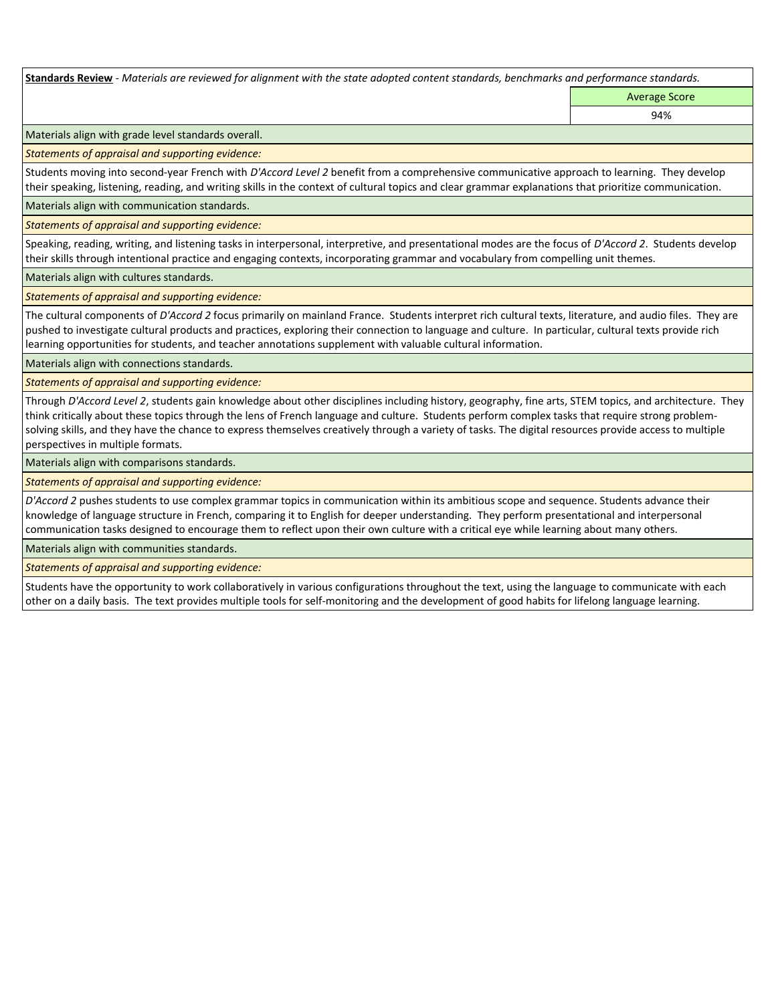**Standards Review** *- Materials are reviewed for alignment with the state adopted content standards, benchmarks and performance standards.*

Average Score 94%

Materials align with grade level standards overall.

*Statements of appraisal and supporting evidence:* 

Students moving into second-year French with *D'Accord Level 2* benefit from a comprehensive communicative approach to learning. They develop their speaking, listening, reading, and writing skills in the context of cultural topics and clear grammar explanations that prioritize communication.

Materials align with communication standards.

*Statements of appraisal and supporting evidence:* 

Speaking, reading, writing, and listening tasks in interpersonal, interpretive, and presentational modes are the focus of *D'Accord 2*. Students develop their skills through intentional practice and engaging contexts, incorporating grammar and vocabulary from compelling unit themes.

Materials align with cultures standards.

*Statements of appraisal and supporting evidence:* 

The cultural components of *D'Accord 2* focus primarily on mainland France. Students interpret rich cultural texts, literature, and audio files. They are pushed to investigate cultural products and practices, exploring their connection to language and culture. In particular, cultural texts provide rich learning opportunities for students, and teacher annotations supplement with valuable cultural information.

Materials align with connections standards.

*Statements of appraisal and supporting evidence:* 

Through *D'Accord Level 2*, students gain knowledge about other disciplines including history, geography, fine arts, STEM topics, and architecture. They think critically about these topics through the lens of French language and culture. Students perform complex tasks that require strong problemsolving skills, and they have the chance to express themselves creatively through a variety of tasks. The digital resources provide access to multiple perspectives in multiple formats.

Materials align with comparisons standards.

*Statements of appraisal and supporting evidence:* 

*D'Accord 2* pushes students to use complex grammar topics in communication within its ambitious scope and sequence. Students advance their knowledge of language structure in French, comparing it to English for deeper understanding. They perform presentational and interpersonal communication tasks designed to encourage them to reflect upon their own culture with a critical eye while learning about many others.

Materials align with communities standards.

*Statements of appraisal and supporting evidence:* 

Students have the opportunity to work collaboratively in various configurations throughout the text, using the language to communicate with each other on a daily basis. The text provides multiple tools for self-monitoring and the development of good habits for lifelong language learning.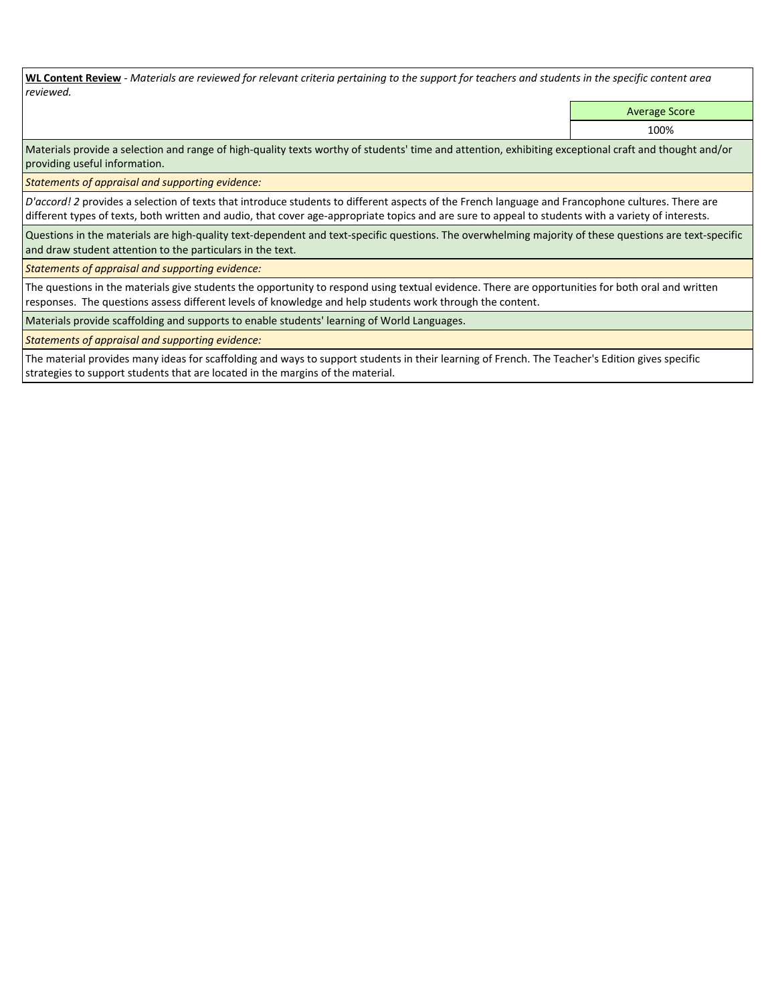**WL Content Review** *- Materials are reviewed for relevant criteria pertaining to the support for teachers and students in the specific content area reviewed.*

Average Score

100%

Materials provide a selection and range of high-quality texts worthy of students' time and attention, exhibiting exceptional craft and thought and/or providing useful information.

*Statements of appraisal and supporting evidence:* 

*D'accord! 2* provides a selection of texts that introduce students to different aspects of the French language and Francophone cultures. There are different types of texts, both written and audio, that cover age-appropriate topics and are sure to appeal to students with a variety of interests.

Questions in the materials are high-quality text-dependent and text-specific questions. The overwhelming majority of these questions are text-specific and draw student attention to the particulars in the text.

*Statements of appraisal and supporting evidence:* 

The questions in the materials give students the opportunity to respond using textual evidence. There are opportunities for both oral and written responses. The questions assess different levels of knowledge and help students work through the content.

Materials provide scaffolding and supports to enable students' learning of World Languages.

*Statements of appraisal and supporting evidence:* 

The material provides many ideas for scaffolding and ways to support students in their learning of French. The Teacher's Edition gives specific strategies to support students that are located in the margins of the material.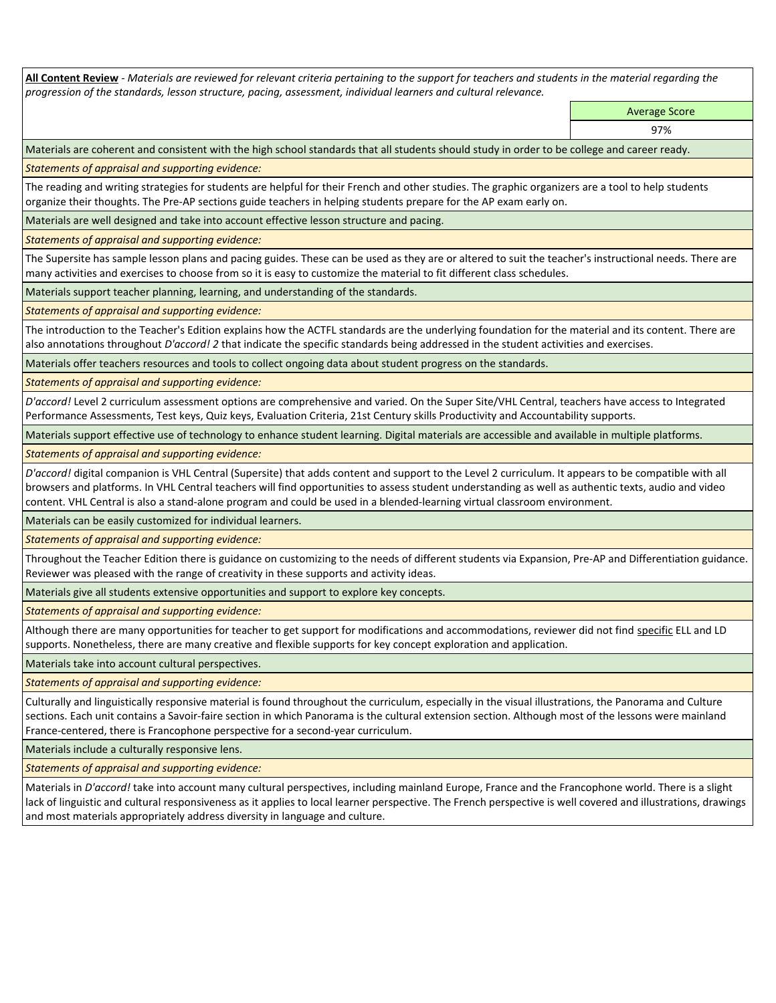**All Content Review** *- Materials are reviewed for relevant criteria pertaining to the support for teachers and students in the material regarding the progression of the standards, lesson structure, pacing, assessment, individual learners and cultural relevance.*

> Average Score 97%

Materials are coherent and consistent with the high school standards that all students should study in order to be college and career ready.

*Statements of appraisal and supporting evidence:*

The reading and writing strategies for students are helpful for their French and other studies. The graphic organizers are a tool to help students organize their thoughts. The Pre-AP sections guide teachers in helping students prepare for the AP exam early on.

Materials are well designed and take into account effective lesson structure and pacing.

*Statements of appraisal and supporting evidence:*

The Supersite has sample lesson plans and pacing guides. These can be used as they are or altered to suit the teacher's instructional needs. There are many activities and exercises to choose from so it is easy to customize the material to fit different class schedules.

Materials support teacher planning, learning, and understanding of the standards.

*Statements of appraisal and supporting evidence:*

The introduction to the Teacher's Edition explains how the ACTFL standards are the underlying foundation for the material and its content. There are also annotations throughout *D'accord! 2* that indicate the specific standards being addressed in the student activities and exercises.

Materials offer teachers resources and tools to collect ongoing data about student progress on the standards.

*Statements of appraisal and supporting evidence:*

*D'accord!* Level 2 curriculum assessment options are comprehensive and varied. On the Super Site/VHL Central, teachers have access to Integrated Performance Assessments, Test keys, Quiz keys, Evaluation Criteria, 21st Century skills Productivity and Accountability supports.

Materials support effective use of technology to enhance student learning. Digital materials are accessible and available in multiple platforms.

*Statements of appraisal and supporting evidence:*

*D'accord!* digital companion is VHL Central (Supersite) that adds content and support to the Level 2 curriculum. It appears to be compatible with all browsers and platforms. In VHL Central teachers will find opportunities to assess student understanding as well as authentic texts, audio and video content. VHL Central is also a stand-alone program and could be used in a blended-learning virtual classroom environment.

Materials can be easily customized for individual learners.

*Statements of appraisal and supporting evidence:* 

Throughout the Teacher Edition there is guidance on customizing to the needs of different students via Expansion, Pre-AP and Differentiation guidance. Reviewer was pleased with the range of creativity in these supports and activity ideas.

Materials give all students extensive opportunities and support to explore key concepts.

*Statements of appraisal and supporting evidence:*

Although there are many opportunities for teacher to get support for modifications and accommodations, reviewer did not find specific ELL and LD supports. Nonetheless, there are many creative and flexible supports for key concept exploration and application.

Materials take into account cultural perspectives.

*Statements of appraisal and supporting evidence:*

Culturally and linguistically responsive material is found throughout the curriculum, especially in the visual illustrations, the Panorama and Culture sections. Each unit contains a Savoir-faire section in which Panorama is the cultural extension section. Although most of the lessons were mainland France-centered, there is Francophone perspective for a second-year curriculum.

Materials include a culturally responsive lens.

*Statements of appraisal and supporting evidence:*

Materials in *D'accord!* take into account many cultural perspectives, including mainland Europe, France and the Francophone world. There is a slight lack of linguistic and cultural responsiveness as it applies to local learner perspective. The French perspective is well covered and illustrations, drawings and most materials appropriately address diversity in language and culture.